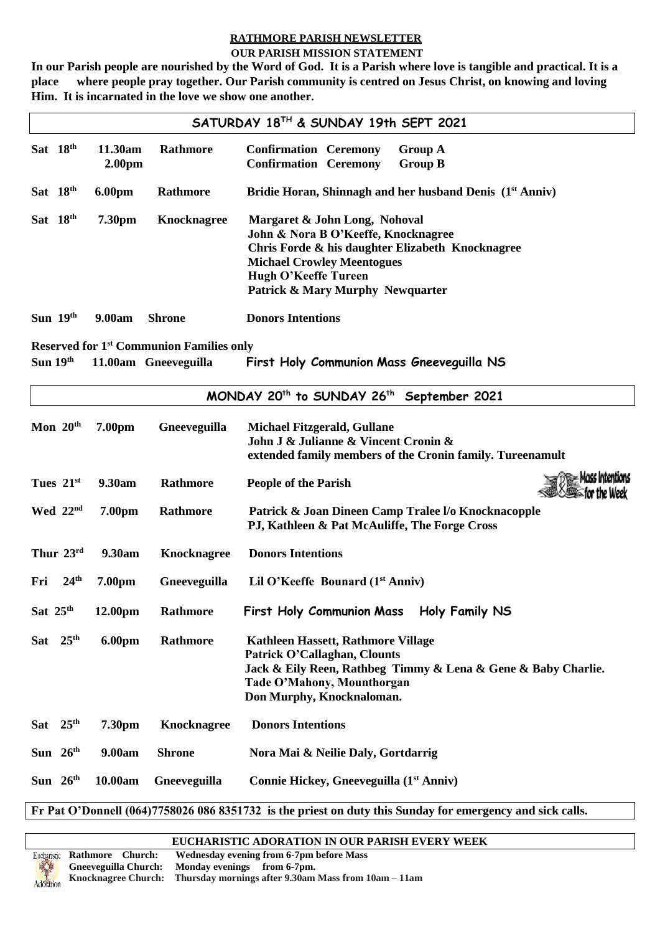## **RATHMORE PARISH NEWSLETTER**

#### **OUR PARISH MISSION STATEMENT**

**In our Parish people are nourished by the Word of God. It is a Parish where love is tangible and practical. It is a place where people pray together. Our Parish community is centred on Jesus Christ, on knowing and loving Him. It is incarnated in the love we show one another.**

| SATURDAY 18TH & SUNDAY 19th SEPT 2021 |                  |                               |                                                 |                                                                                                                                                                                                                           |
|---------------------------------------|------------------|-------------------------------|-------------------------------------------------|---------------------------------------------------------------------------------------------------------------------------------------------------------------------------------------------------------------------------|
|                                       | Sat 18th         | 11.30am<br>2.00 <sub>pm</sub> | Rathmore                                        | <b>Confirmation Ceremony</b><br><b>Group A</b><br><b>Confirmation Ceremony</b><br><b>Group B</b>                                                                                                                          |
|                                       | Sat 18th         | 6.00pm                        | Rathmore                                        | Bridie Horan, Shinnagh and her husband Denis (1 <sup>st</sup> Anniv)                                                                                                                                                      |
|                                       | Sat 18th         | 7.30pm                        | <b>Knocknagree</b>                              | Margaret & John Long, Nohoval<br>John & Nora B O'Keeffe, Knocknagree<br>Chris Forde & his daughter Elizabeth Knocknagree<br><b>Michael Crowley Meentogues</b><br>Hugh O'Keeffe Tureen<br>Patrick & Mary Murphy Newquarter |
|                                       | Sun 19th         | 9.00am                        | <b>Shrone</b>                                   | <b>Donors Intentions</b>                                                                                                                                                                                                  |
|                                       |                  |                               | <b>Reserved for 1st Communion Families only</b> |                                                                                                                                                                                                                           |
| Sun $19th$                            |                  |                               | 11.00am Gneeveguilla                            | First Holy Communion Mass Gneeveguilla NS                                                                                                                                                                                 |
|                                       |                  |                               |                                                 | MONDAY 20 <sup>th</sup> to SUNDAY 26 <sup>th</sup> September 2021                                                                                                                                                         |
|                                       | Mon $20th$       | 7.00pm                        | Gneeveguilla                                    | <b>Michael Fitzgerald, Gullane</b><br>John J & Julianne & Vincent Cronin &<br>extended family members of the Cronin family. Tureenamult                                                                                   |
|                                       | Tues $21st$      | 9.30am                        | Rathmore                                        | <b>People of the Parish</b>                                                                                                                                                                                               |
|                                       | Wed $22nd$       | 7.00pm                        | Rathmore                                        | Patrick & Joan Dineen Camp Tralee I/o Knocknacopple<br>PJ, Kathleen & Pat McAuliffe, The Forge Cross                                                                                                                      |
|                                       | Thur $23rd$      | 9.30am                        | <b>Knocknagree</b>                              | <b>Donors Intentions</b>                                                                                                                                                                                                  |
| Fri                                   | 24 <sup>th</sup> | 7.00pm                        | Gneeveguilla                                    | Lil O'Keeffe Bounard $(1st Anniv)$                                                                                                                                                                                        |
| Sat 25th                              |                  | 12.00pm                       | Rathmore                                        | First Holy Communion Mass Holy Family NS                                                                                                                                                                                  |
|                                       | Sat $25th$       | <b>6.00pm</b>                 | Rathmore                                        | Kathleen Hassett, Rathmore Village<br>Patrick O'Callaghan, Clounts<br>Jack & Eily Reen, Rathbeg Timmy & Lena & Gene & Baby Charlie.<br>Tade O'Mahony, Mounthorgan<br>Don Murphy, Knocknaloman.                            |
| <b>Sat</b>                            | 25 <sup>th</sup> | 7.30pm                        | <b>Knocknagree</b>                              | <b>Donors Intentions</b>                                                                                                                                                                                                  |
|                                       | Sun $26th$       | 9.00am                        | <b>Shrone</b>                                   | Nora Mai & Neilie Daly, Gortdarrig                                                                                                                                                                                        |

**Sun 26 th 10.00am Gneeveguilla Connie Hickey, Gneeveguilla (1st Anniv)**

**Fr Pat O'Donnell (064)7758026 086 8351732 is the priest on duty this Sunday for emergency and sick calls.** 

**EUCHARISTIC ADORATION IN OUR PARISH EVERY WEEK**